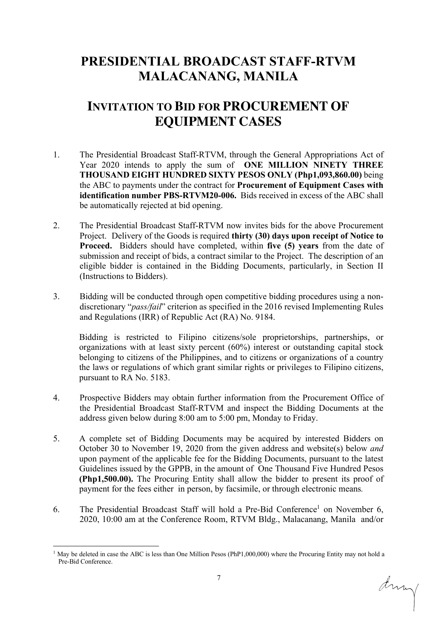## **PRESIDENTIAL BROADCAST STAFF-RTVM MALACANANG, MANILA**

## **INVITATION TO BID FOR PROCUREMENT OF EQUIPMENT CASES**

- 1. The Presidential Broadcast Staff-RTVM, through the General Appropriations Act of Year 2020 intends to apply the sum of **ONE MILLION NINETY THREE THOUSAND EIGHT HUNDRED SIXTY PESOS ONLY (Php1,093,860.00)** being the ABC to payments under the contract for **Procurement of Equipment Cases with identification number PBS-RTVM20-006.** Bids received in excess of the ABC shall be automatically rejected at bid opening.
- 2. The Presidential Broadcast Staff-RTVM now invites bids for the above Procurement Project. Delivery of the Goods is required **thirty (30) days upon receipt of Notice to Proceed.** Bidders should have completed, within **five (5) years** from the date of submission and receipt of bids, a contract similar to the Project. The description of an eligible bidder is contained in the Bidding Documents, particularly, in Section II (Instructions to Bidders).
- 3. Bidding will be conducted through open competitive bidding procedures using a nondiscretionary "*pass/fail*" criterion as specified in the 2016 revised Implementing Rules and Regulations (IRR) of Republic Act (RA) No. 9184.

Bidding is restricted to Filipino citizens/sole proprietorships, partnerships, or organizations with at least sixty percent (60%) interest or outstanding capital stock belonging to citizens of the Philippines, and to citizens or organizations of a country the laws or regulations of which grant similar rights or privileges to Filipino citizens, pursuant to RA No. 5183.

- 4. Prospective Bidders may obtain further information from the Procurement Office of the Presidential Broadcast Staff-RTVM and inspect the Bidding Documents at the address given below during 8:00 am to 5:00 pm, Monday to Friday.
- 5. A complete set of Bidding Documents may be acquired by interested Bidders on October 30 to November 19, 2020 from the given address and website(s) below *and*  upon payment of the applicable fee for the Bidding Documents, pursuant to the latest Guidelines issued by the GPPB, in the amount of One Thousand Five Hundred Pesos **(Php1,500.00).** The Procuring Entity shall allow the bidder to present its proof of payment for the fees eitherin person, by facsimile, or through electronic means*.*
- 6. The Presidential Broadcast Staff will hold a Pre-Bid Conference<sup>1</sup> on November 6, 2020, 10:00 am at the Conference Room, RTVM Bldg., Malacanang, Manila and/or

dring

<sup>&</sup>lt;sup>1</sup> May be deleted in case the ABC is less than One Million Pesos (PhP1,000,000) where the Procuring Entity may not hold a Pre-Bid Conference.